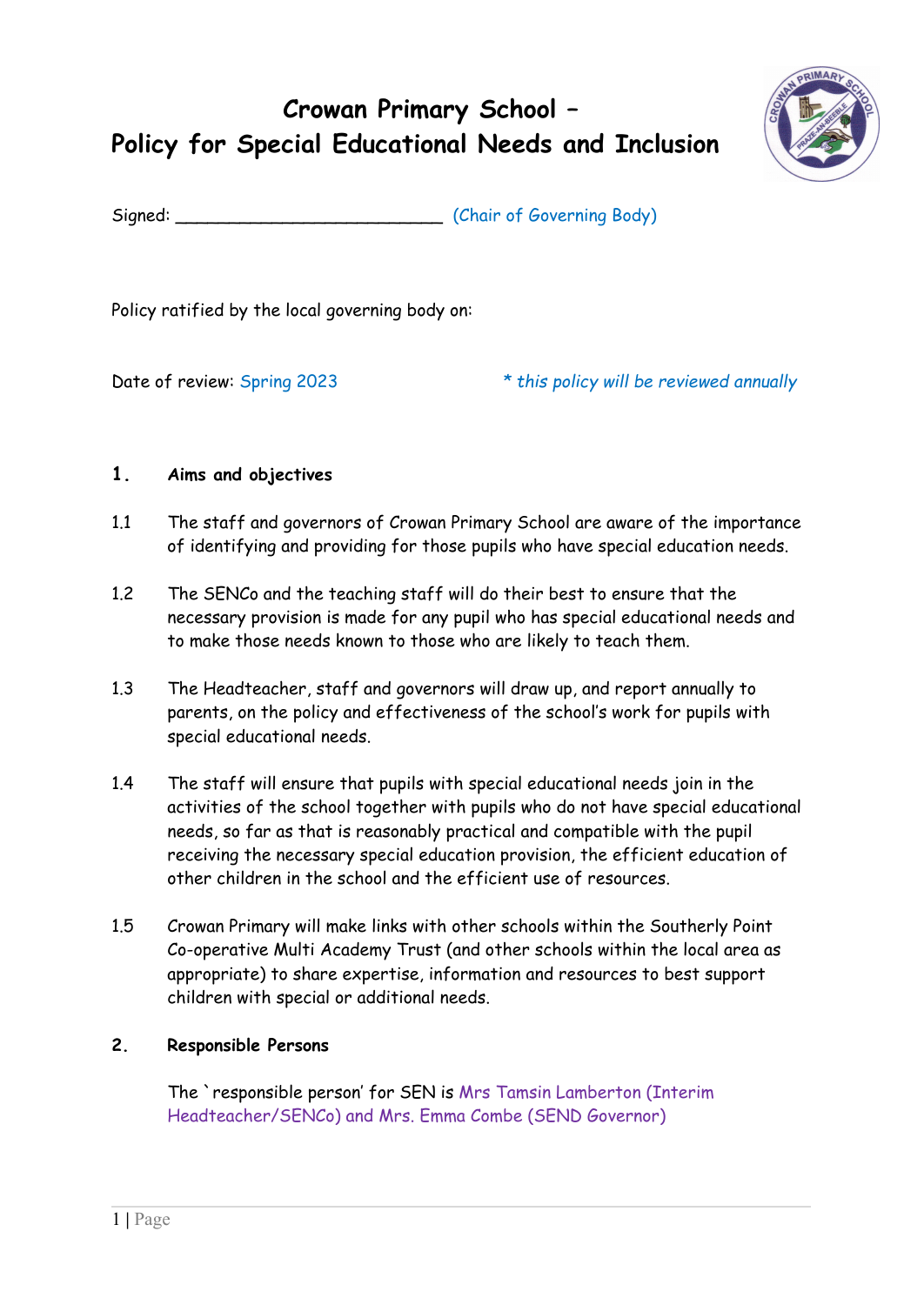# **Crowan Primary School – Policy for Special Educational Needs and Inclusion**



Signed: Chair of Governing Body)

Policy ratified by the local governing body on:

Date of review: Spring 2023 *\* this policy will be reviewed annually*

## **1. Aims and objectives**

- 1.1 The staff and governors of Crowan Primary School are aware of the importance of identifying and providing for those pupils who have special education needs.
- 1.2 The SENCo and the teaching staff will do their best to ensure that the necessary provision is made for any pupil who has special educational needs and to make those needs known to those who are likely to teach them.
- 1.3 The Headteacher, staff and governors will draw up, and report annually to parents, on the policy and effectiveness of the school's work for pupils with special educational needs.
- 1.4 The staff will ensure that pupils with special educational needs join in the activities of the school together with pupils who do not have special educational needs, so far as that is reasonably practical and compatible with the pupil receiving the necessary special education provision, the efficient education of other children in the school and the efficient use of resources.
- 1.5 Crowan Primary will make links with other schools within the Southerly Point Co-operative Multi Academy Trust (and other schools within the local area as appropriate) to share expertise, information and resources to best support children with special or additional needs.

## **2. Responsible Persons**

The `responsible person' for SEN is Mrs Tamsin Lamberton (Interim Headteacher/SENCo) and Mrs. Emma Combe (SEND Governor)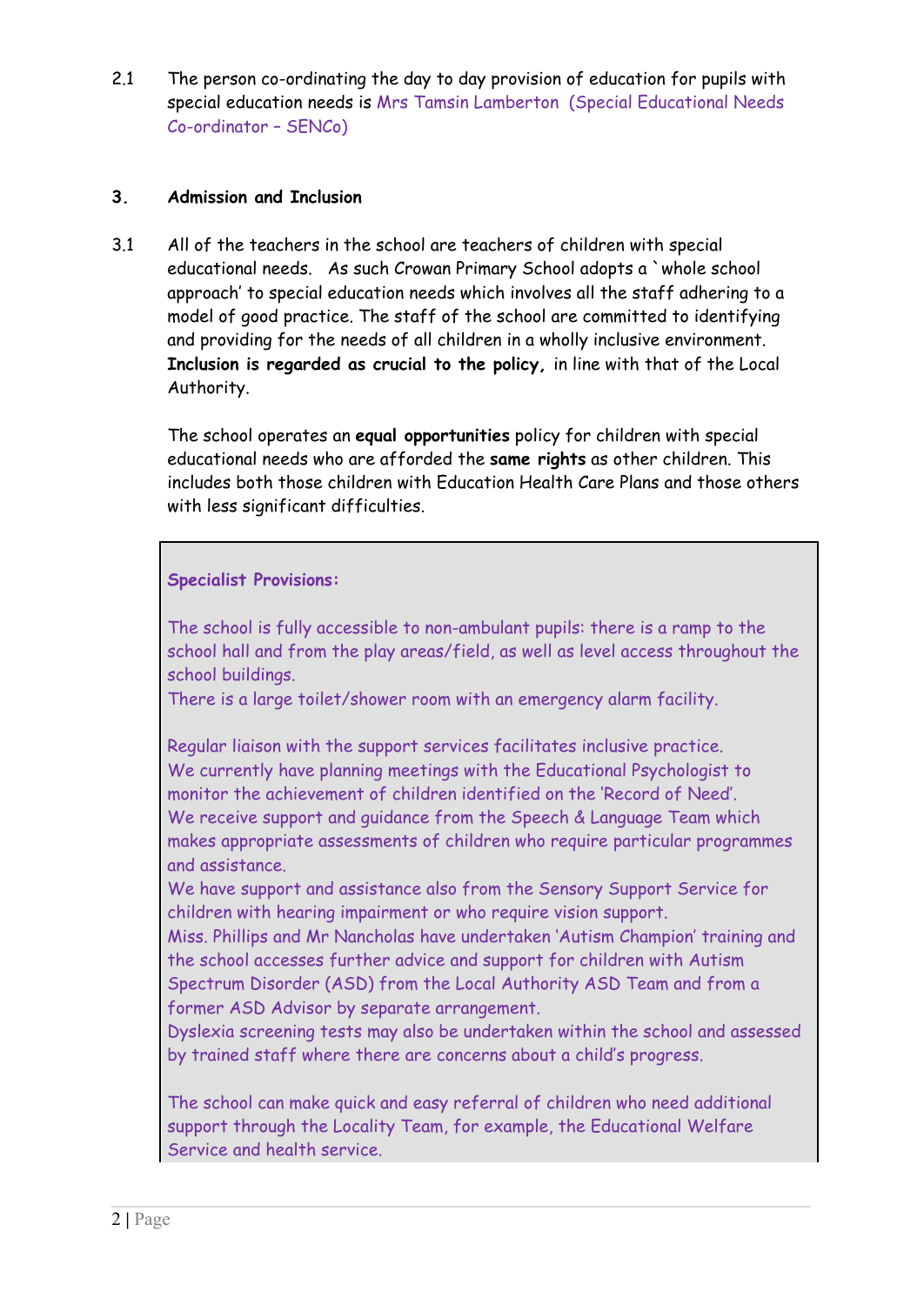2.1 The person co-ordinating the day to day provision of education for pupils with special education needs is Mrs Tamsin Lamberton (Special Educational Needs Co-ordinator – SENCo)

#### **3. Admission and Inclusion**

3.1 All of the teachers in the school are teachers of children with special educational needs. As such Crowan Primary School adopts a `whole school approach' to special education needs which involves all the staff adhering to a model of good practice. The staff of the school are committed to identifying and providing for the needs of all children in a wholly inclusive environment. **Inclusion is regarded as crucial to the policy,** in line with that of the Local Authority.

The school operates an **equal opportunities** policy for children with special educational needs who are afforded the **same rights** as other children. This includes both those children with Education Health Care Plans and those others with less significant difficulties.

#### **Specialist Provisions:**

The school is fully accessible to non-ambulant pupils: there is a ramp to the school hall and from the play areas/field, as well as level access throughout the school buildings.

There is a large toilet/shower room with an emergency alarm facility.

Regular liaison with the support services facilitates inclusive practice. We currently have planning meetings with the Educational Psychologist to monitor the achievement of children identified on the 'Record of Need'. We receive support and guidance from the Speech & Language Team which makes appropriate assessments of children who require particular programmes and assistance.

We have support and assistance also from the Sensory Support Service for children with hearing impairment or who require vision support.

Miss. Phillips and Mr Nancholas have undertaken 'Autism Champion' training and the school accesses further advice and support for children with Autism Spectrum Disorder (ASD) from the Local Authority ASD Team and from a former ASD Advisor by separate arrangement.

Dyslexia screening tests may also be undertaken within the school and assessed by trained staff where there are concerns about a child's progress.

The school can make quick and easy referral of children who need additional support through the Locality Team, for example, the Educational Welfare Service and health service.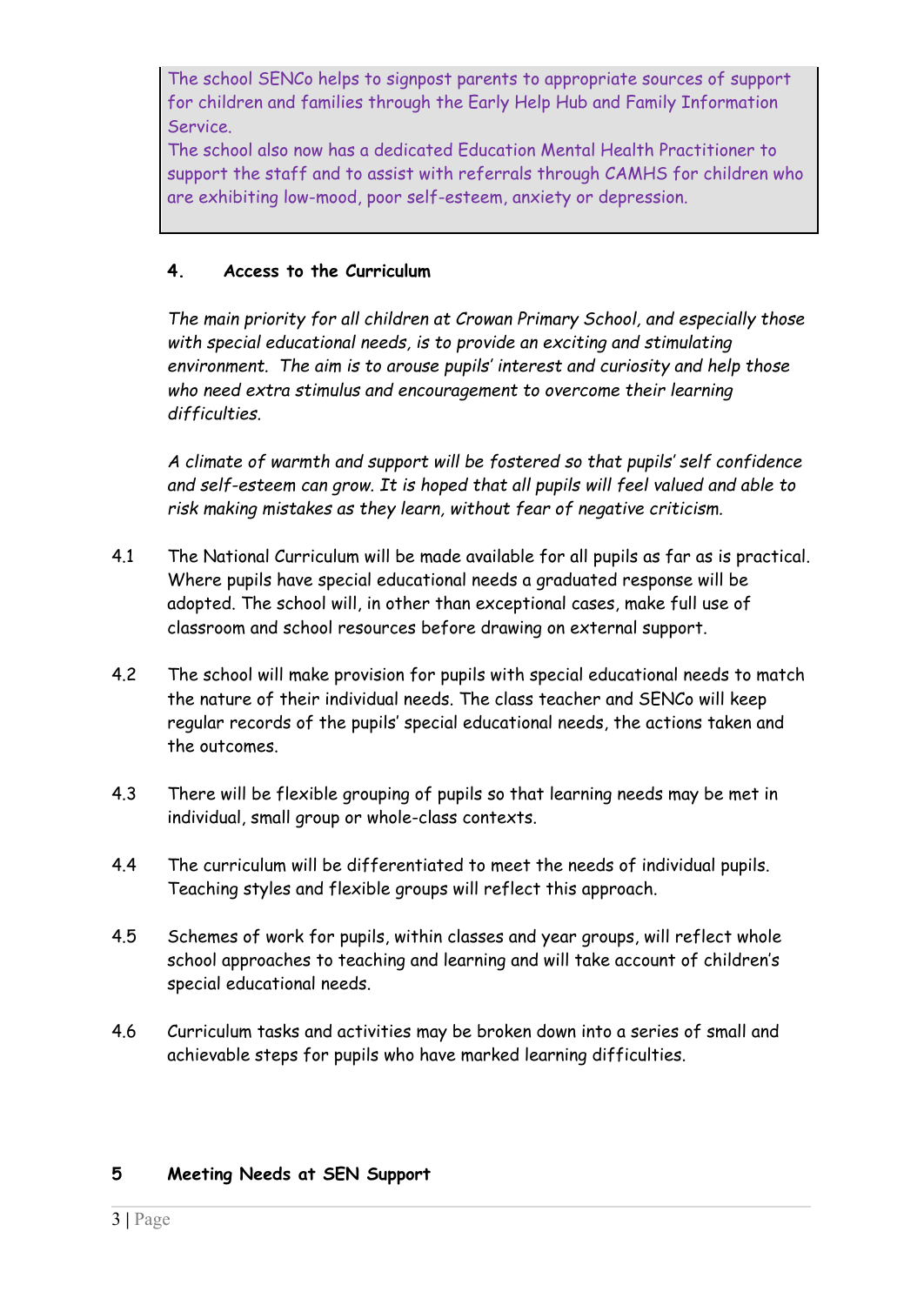The school SENCo helps to signpost parents to appropriate sources of support for children and families through the Early Help Hub and Family Information Service.

The school also now has a dedicated Education Mental Health Practitioner to support the staff and to assist with referrals through CAMHS for children who are exhibiting low-mood, poor self-esteem, anxiety or depression.

## **4. Access to the Curriculum**

*The main priority for all children at Crowan Primary School, and especially those with special educational needs, is to provide an exciting and stimulating environment. The aim is to arouse pupils' interest and curiosity and help those who need extra stimulus and encouragement to overcome their learning difficulties.*

*A climate of warmth and support will be fostered so that pupils' self confidence and self-esteem can grow. It is hoped that all pupils will feel valued and able to risk making mistakes as they learn, without fear of negative criticism.*

- 4.1 The National Curriculum will be made available for all pupils as far as is practical. Where pupils have special educational needs a graduated response will be adopted. The school will, in other than exceptional cases, make full use of classroom and school resources before drawing on external support.
- 4.2 The school will make provision for pupils with special educational needs to match the nature of their individual needs. The class teacher and SENCo will keep regular records of the pupils' special educational needs, the actions taken and the outcomes.
- 4.3 There will be flexible grouping of pupils so that learning needs may be met in individual, small group or whole-class contexts.
- 4.4 The curriculum will be differentiated to meet the needs of individual pupils. Teaching styles and flexible groups will reflect this approach.
- 4.5 Schemes of work for pupils, within classes and year groups, will reflect whole school approaches to teaching and learning and will take account of children's special educational needs.
- 4.6 Curriculum tasks and activities may be broken down into a series of small and achievable steps for pupils who have marked learning difficulties.

## **5 Meeting Needs at SEN Support**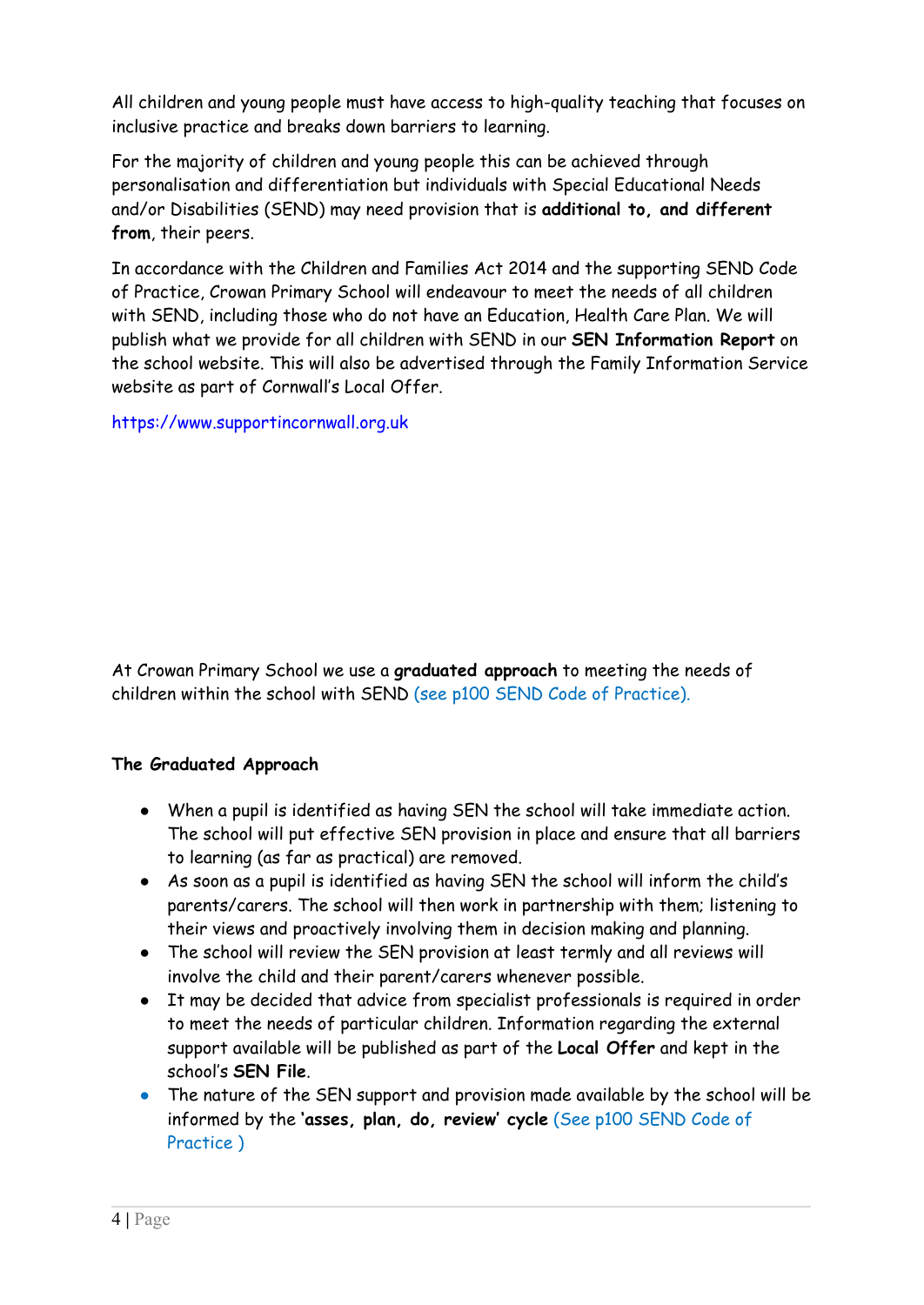All children and young people must have access to high-quality teaching that focuses on inclusive practice and breaks down barriers to learning.

For the majority of children and young people this can be achieved through personalisation and differentiation but individuals with Special Educational Needs and/or Disabilities (SEND) may need provision that is **additional to, and different from**, their peers.

In accordance with the Children and Families Act 2014 and the supporting SEND Code of Practice, Crowan Primary School will endeavour to meet the needs of all children with SEND, including those who do not have an Education, Health Care Plan. We will publish what we provide for all children with SEND in our **SEN Information Report** on the school website. This will also be advertised through the Family Information Service website as part of Cornwall's Local Offer.

<https://www.supportincornwall.org.uk>

At Crowan Primary School we use a **[graduated](https://www.cornwall.gov.uk/media/16918076/the-graduated-approach.pdf) approach** to meeting the needs of children within the school with SEND (see p100 SEND Code of Practice).

# **The Graduated Approach**

- When a pupil is identified as having SEN the school will take immediate action. The school will put effective SEN provision in place and ensure that all barriers to learning (as far as practical) are removed.
- As soon as a pupil is identified as having SEN the school will inform the child's parents/carers. The school will then work in partnership with them; listening to their views and proactively involving them in decision making and planning.
- The school will review the SEN provision at least termly and all reviews will involve the child and their parent/carers whenever possible.
- It may be decided that advice from specialist professionals is required in order to meet the needs of particular children. Information regarding the external support available will be published as part of the **Local Offer** and kept in the school's **SEN File**.
- The nature of the SEN support and provision made available by the school will be informed by the **'asses, plan, do, review' cycle** (See p100 SEND Code of Practice )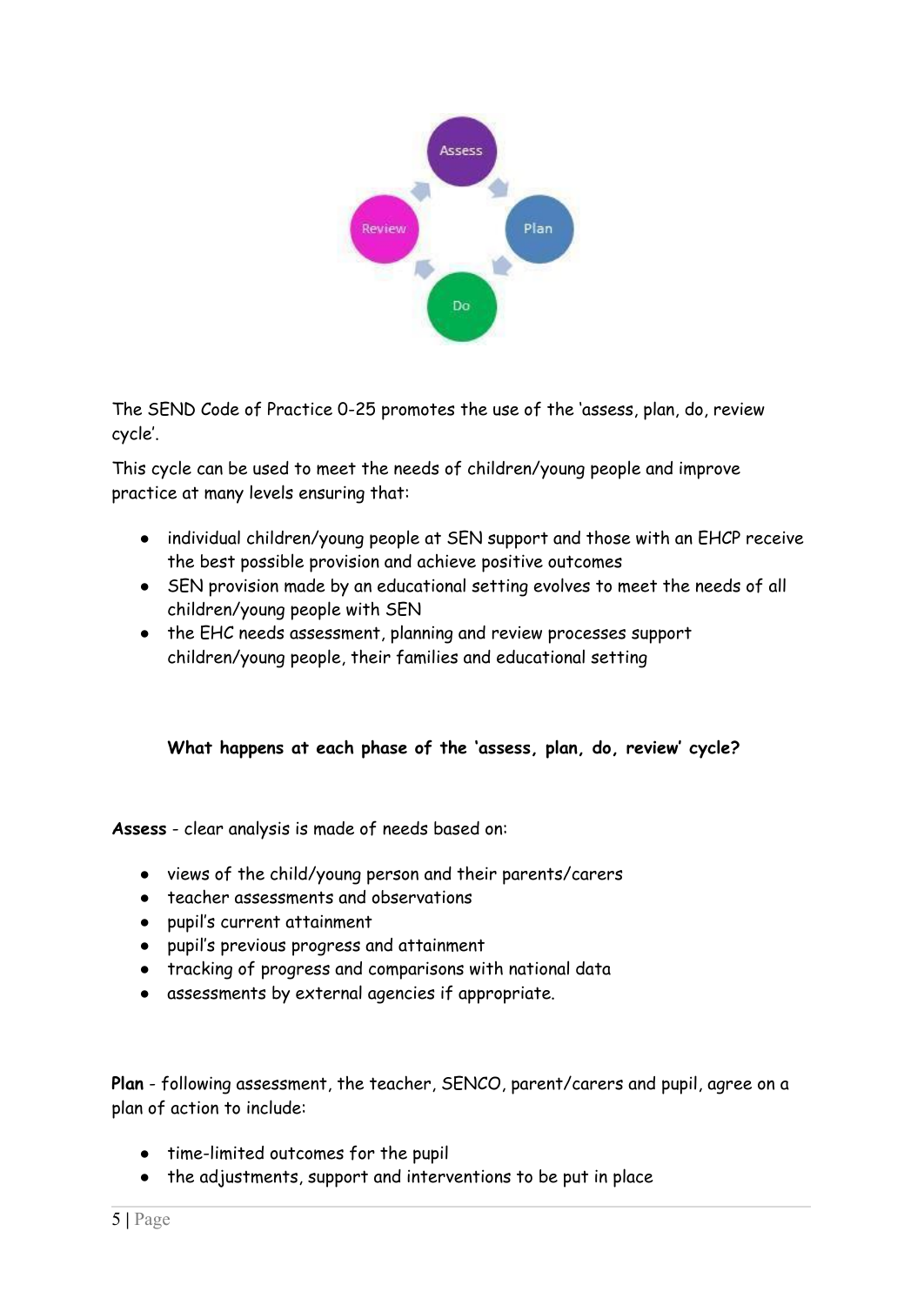

The SEND Code of Practice 0-25 promotes the use of the 'assess, plan, do, review cycle'.

This cycle can be used to meet the needs of children/young people and improve practice at many levels ensuring that:

- individual children/young people at SEN support and those with an EHCP receive the best possible provision and achieve positive outcomes
- SEN provision made by an educational setting evolves to meet the needs of all children/young people with SEN
- the EHC needs assessment, planning and review processes support children/young people, their families and educational setting

# **What happens at each phase of the 'assess, plan, do, review' cycle?**

**Assess** - clear analysis is made of needs based on:

- views of the child/young person and their parents/carers
- teacher assessments and observations
- pupil's current attainment
- pupil's previous progress and attainment
- tracking of progress and comparisons with national data
- assessments by external agencies if appropriate.

**Plan** - following assessment, the teacher, SENCO, parent/carers and pupil, agree on a plan of action to include:

- time-limited outcomes for the pupil
- the adjustments, support and interventions to be put in place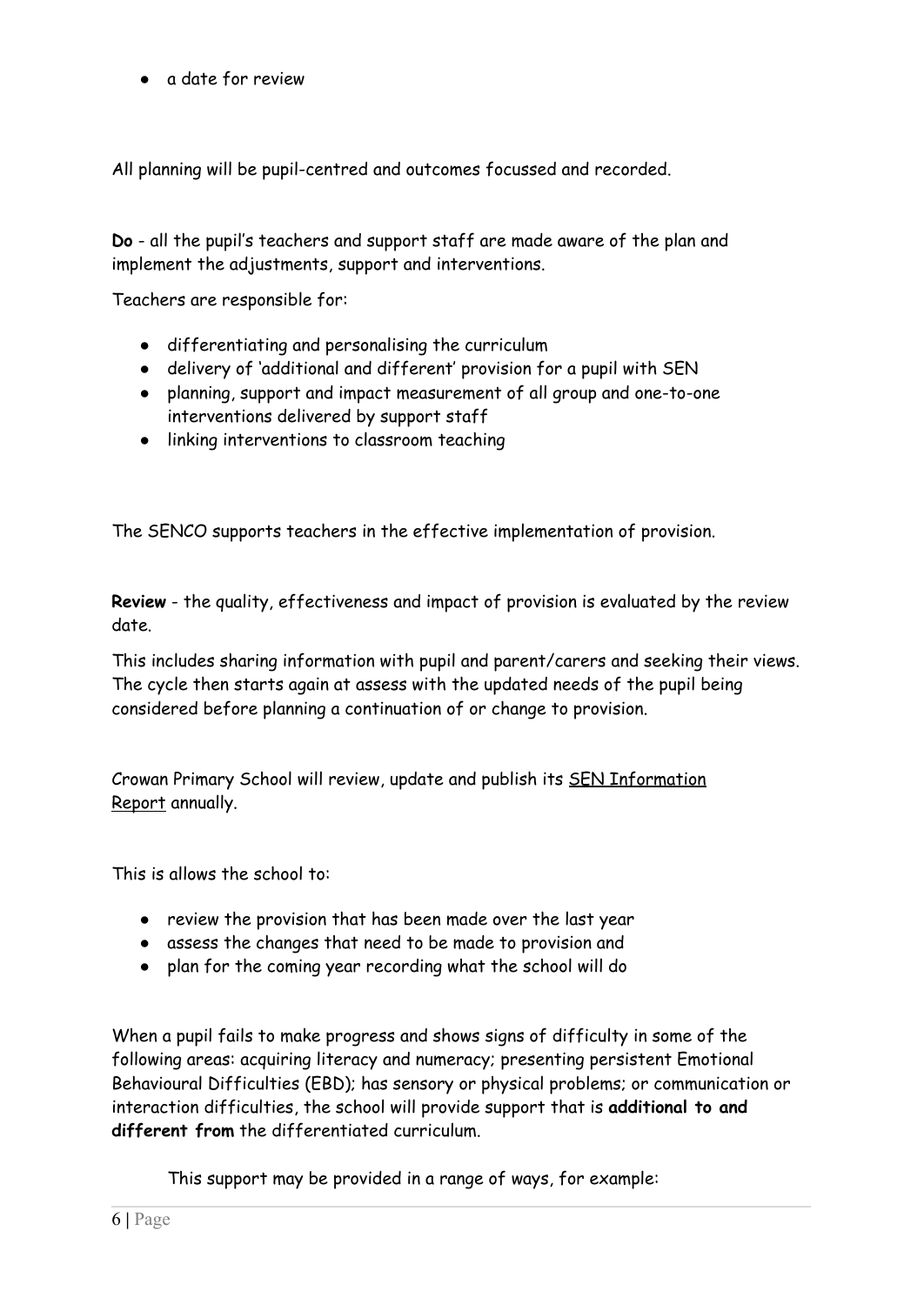● a date for review

All planning will be pupil-centred and outcomes focussed and recorded.

**Do** - all the pupil's teachers and support staff are made aware of the plan and implement the adjustments, support and interventions.

Teachers are responsible for:

- differentiating and personalising the curriculum
- delivery of 'additional and different' provision for a pupil with SEN
- planning, support and impact measurement of all group and one-to-one interventions delivered by support staff
- linking interventions to classroom teaching

The SENCO supports teachers in the effective implementation of provision.

**Review** - the quality, effectiveness and impact of provision is evaluated by the review date.

This includes sharing information with pupil and parent/carers and seeking their views. The cycle then starts again at assess with the updated needs of the pupil being considered before planning a continuation of or change to provision.

Crowan Primary School will review, update and publish its SEN [Information](https://www.cornwall.gov.uk/education-and-learning/schools-and-colleges/special-educational-needs-file/education-health-and-care-needs-assessments-and-planning/access-plan-do-review-cycle/) [Report](https://www.cornwall.gov.uk/education-and-learning/schools-and-colleges/special-educational-needs-file/education-health-and-care-needs-assessments-and-planning/access-plan-do-review-cycle/) annually.

This is allows the school to:

- review the provision that has been made over the last year
- assess the changes that need to be made to provision and
- plan for the coming year recording what the school will do

When a pupil fails to make progress and shows signs of difficulty in some of the following areas: acquiring literacy and numeracy; presenting persistent Emotional Behavioural Difficulties (EBD); has sensory or physical problems; or communication or interaction difficulties, the school will provide support that is **additional to and different from** the differentiated curriculum.

This support may be provided in a range of ways, for example: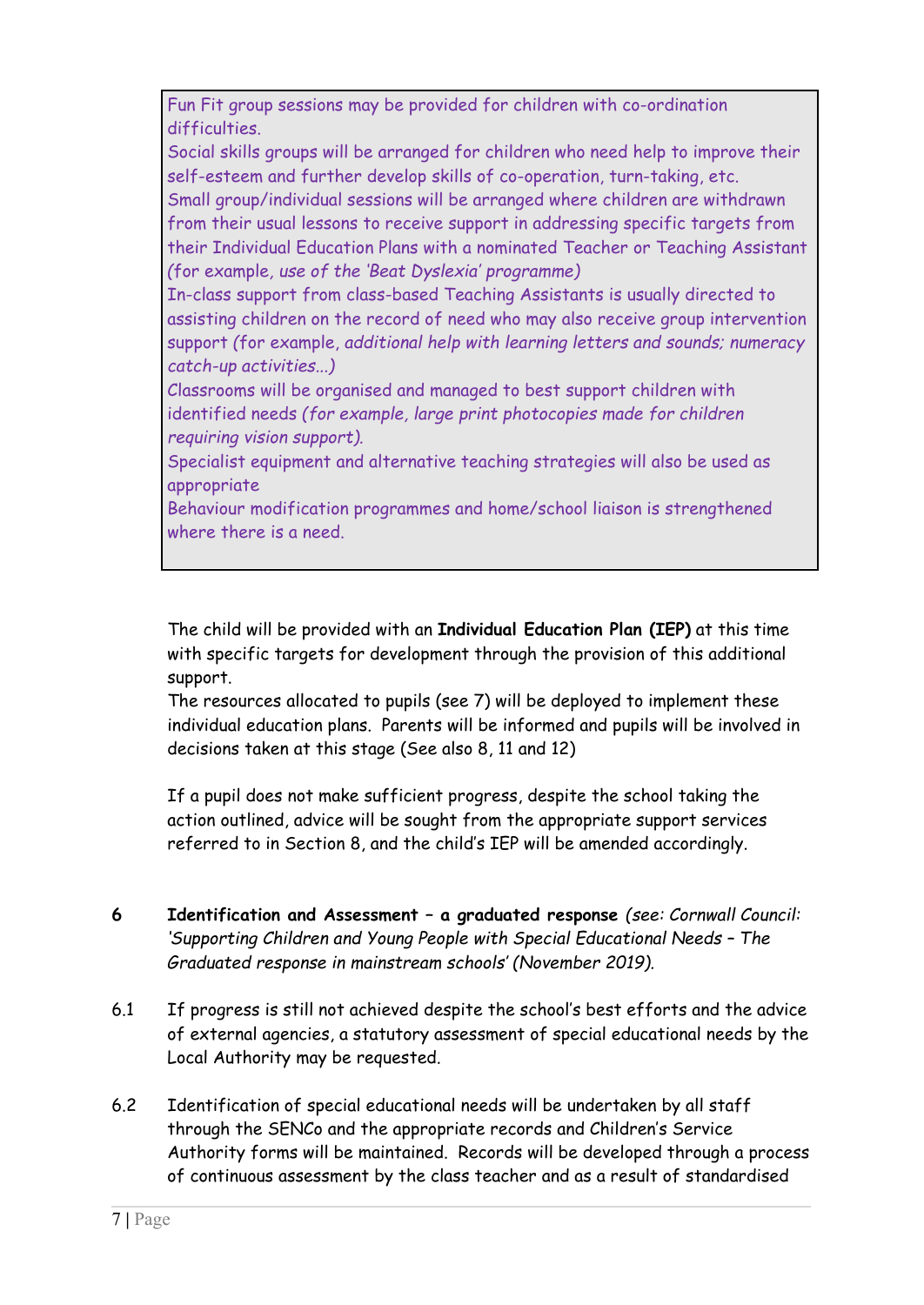Fun Fit group sessions may be provided for children with co-ordination difficulties.

Social skills groups will be arranged for children who need help to improve their self-esteem and further develop skills of co-operation, turn-taking, etc. Small group/individual sessions will be arranged where children are withdrawn from their usual lessons to receive support in addressing specific targets from

their Individual Education Plans with a nominated Teacher or Teaching Assistant *(*for example*, use of the 'Beat Dyslexia' programme)*

In-class support from class-based Teaching Assistants is usually directed to assisting children on the record of need who may also receive group intervention support *(*for example, *additional help with learning letters and sounds; numeracy catch-up activities...)*

Classrooms will be organised and managed to best support children with identified needs *(for example, large print photocopies made for children requiring vision support).*

Specialist equipment and alternative teaching strategies will also be used as appropriate

Behaviour modification programmes and home/school liaison is strengthened where there is a need.

The child will be provided with an **Individual Education Plan (IEP)** at this time with specific targets for development through the provision of this additional support.

The resources allocated to pupils (see 7) will be deployed to implement these individual education plans. Parents will be informed and pupils will be involved in decisions taken at this stage (See also 8, 11 and 12)

If a pupil does not make sufficient progress, despite the school taking the action outlined, advice will be sought from the appropriate support services referred to in Section 8, and the child's IEP will be amended accordingly.

- **6 Identification and Assessment – a graduated response** *(see: Cornwall Council: 'Supporting Children and Young People with Special Educational Needs – The Graduated response in mainstream schools' (November 2019).*
- 6.1 If progress is still not achieved despite the school's best efforts and the advice of external agencies, a statutory assessment of special educational needs by the Local Authority may be requested.
- 6.2 Identification of special educational needs will be undertaken by all staff through the SENCo and the appropriate records and Children's Service Authority forms will be maintained. Records will be developed through a process of continuous assessment by the class teacher and as a result of standardised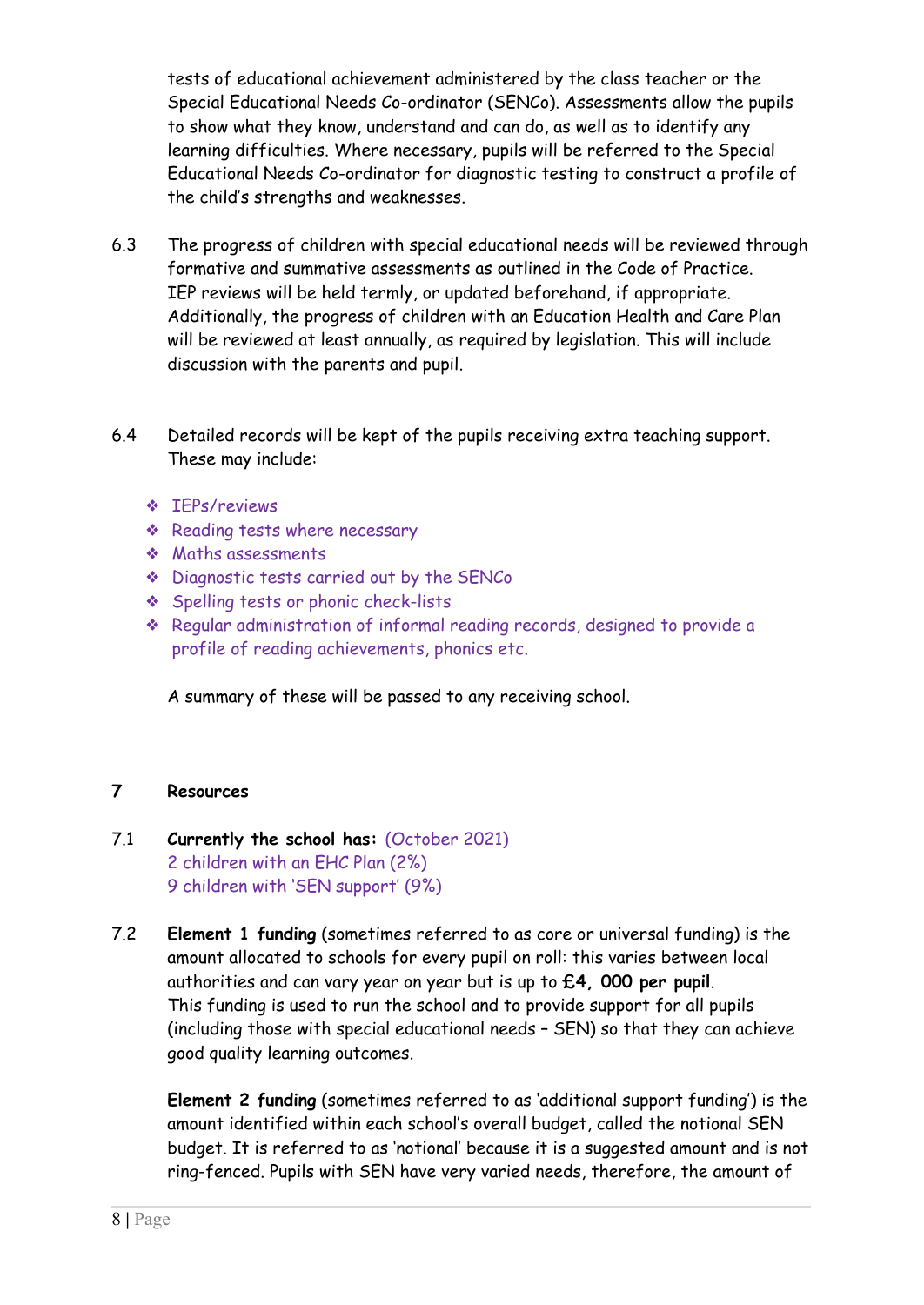tests of educational achievement administered by the class teacher or the Special Educational Needs Co-ordinator (SENCo). Assessments allow the pupils to show what they know, understand and can do, as well as to identify any learning difficulties. Where necessary, pupils will be referred to the Special Educational Needs Co-ordinator for diagnostic testing to construct a profile of the child's strengths and weaknesses.

- 6.3 The progress of children with special educational needs will be reviewed through formative and summative assessments as outlined in the Code of Practice. IEP reviews will be held termly, or updated beforehand, if appropriate. Additionally, the progress of children with an Education Health and Care Plan will be reviewed at least annually, as required by legislation. This will include discussion with the parents and pupil.
- 6.4 Detailed records will be kept of the pupils receiving extra teaching support. These may include:
	- ❖ IEPs/reviews
	- ❖ Reading tests where necessary
	- ❖ Maths assessments
	- ❖ Diagnostic tests carried out by the SENCo
	- ❖ Spelling tests or phonic check-lists
	- ❖ Regular administration of informal reading records, designed to provide a profile of reading achievements, phonics etc.

A summary of these will be passed to any receiving school.

#### **7 Resources**

## 7.1 **Currently the school has:** (October 2021) 2 children with an EHC Plan (2%) 9 children with 'SEN support' (9%)

7.2 **Element 1 funding** (sometimes referred to as core or universal funding) is the amount allocated to schools for every pupil on roll: this varies between local authorities and can vary year on year but is up to **£4, 000 per pupil**. This funding is used to run the school and to provide support for all pupils (including those with special educational needs – SEN) so that they can achieve good quality learning outcomes.

**Element 2 funding** (sometimes referred to as 'additional support funding') is the amount identified within each school's overall budget, called the notional SEN budget. It is referred to as 'notional' because it is a suggested amount and is not ring-fenced. Pupils with SEN have very varied needs, therefore, the amount of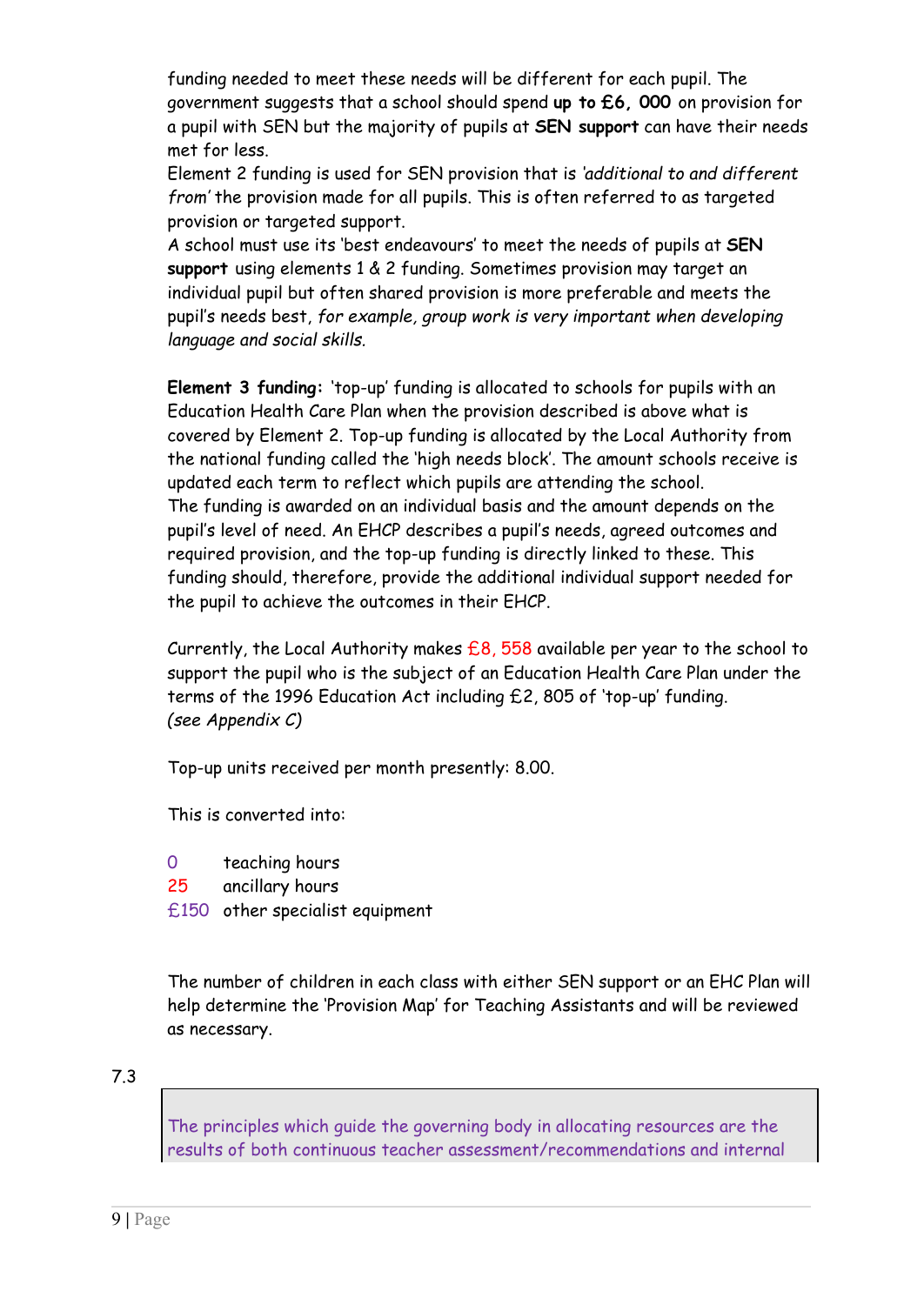funding needed to meet these needs will be different for each pupil. The government suggests that a school should spend **up to £6, 000** on provision for a pupil with SEN but the majority of pupils at **SEN support** can have their needs met for less.

Element 2 funding is used for SEN provision that is *'additional to and different from'* the provision made for all pupils. This is often referred to as targeted provision or targeted support.

A school must use its 'best endeavours' to meet the needs of pupils at **SEN support** using elements 1 & 2 funding. Sometimes provision may target an individual pupil but often shared provision is more preferable and meets the pupil's needs best, *for example, group work is very important when developing language and social skills.*

**Element 3 funding:** 'top-up' funding is allocated to schools for pupils with an Education Health Care Plan when the provision described is above what is covered by Element 2. Top-up funding is allocated by the Local Authority from the national funding called the 'high needs block'. The amount schools receive is updated each term to reflect which pupils are attending the school. The funding is awarded on an individual basis and the amount depends on the pupil's level of need. An EHCP describes a pupil's needs, agreed outcomes and required provision, and the top-up funding is directly linked to these. This funding should, therefore, provide the additional individual support needed for the pupil to achieve the outcomes in their EHCP.

Currently, the Local Authority makes  $£8$ , 558 available per year to the school to support the pupil who is the subject of an Education Health Care Plan under the terms of the 1996 Education Act including £2, 805 of 'top-up' funding. *(see Appendix C)*

Top-up units received per month presently: 8.00.

This is converted into:

- 0 teaching hours
- 25 ancillary hours
- £150 other specialist equipment

The number of children in each class with either SEN support or an EHC Plan will help determine the 'Provision Map' for Teaching Assistants and will be reviewed as necessary.

7.3

The principles which guide the governing body in allocating resources are the results of both continuous teacher assessment/recommendations and internal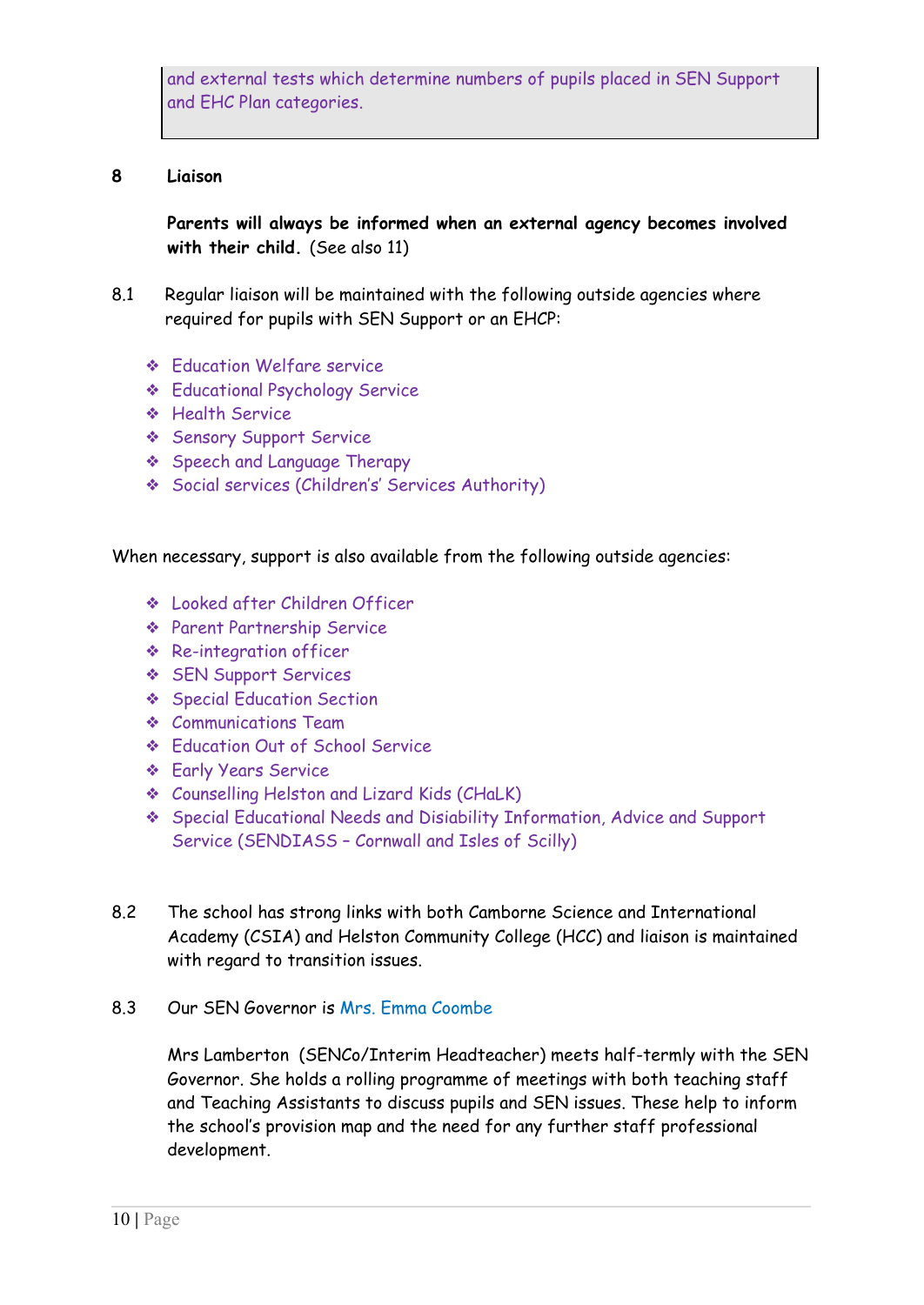and external tests which determine numbers of pupils placed in SEN Support and EHC Plan categories.

#### **8 Liaison**

**Parents will always be informed when an external agency becomes involved with their child.** (See also 11)

- 8.1 Regular liaison will be maintained with the following outside agencies where required for pupils with SEN Support or an EHCP:
	- ❖ Education Welfare service
	- ❖ Educational Psychology Service
	- ❖ Health Service
	- ❖ Sensory Support Service
	- ❖ Speech and Language Therapy
	- ❖ Social services (Children's' Services Authority)

When necessary, support is also available from the following outside agencies:

- ❖ Looked after Children Officer
- ❖ Parent Partnership Service
- ❖ Re-integration officer
- ❖ SEN Support Services
- ❖ Special Education Section
- ❖ Communications Team
- ❖ Education Out of School Service
- ❖ Early Years Service
- ❖ Counselling Helston and Lizard Kids (CHaLK)
- ❖ Special Educational Needs and Disiability Information, Advice and Support Service (SENDIASS – Cornwall and Isles of Scilly)
- 8.2 The school has strong links with both Camborne Science and International Academy (CSIA) and Helston Community College (HCC) and liaison is maintained with regard to transition issues.
- 8.3 Our SEN Governor is Mrs. Emma Coombe

Mrs Lamberton (SENCo/Interim Headteacher) meets half-termly with the SEN Governor. She holds a rolling programme of meetings with both teaching staff and Teaching Assistants to discuss pupils and SEN issues. These help to inform the school's provision map and the need for any further staff professional development.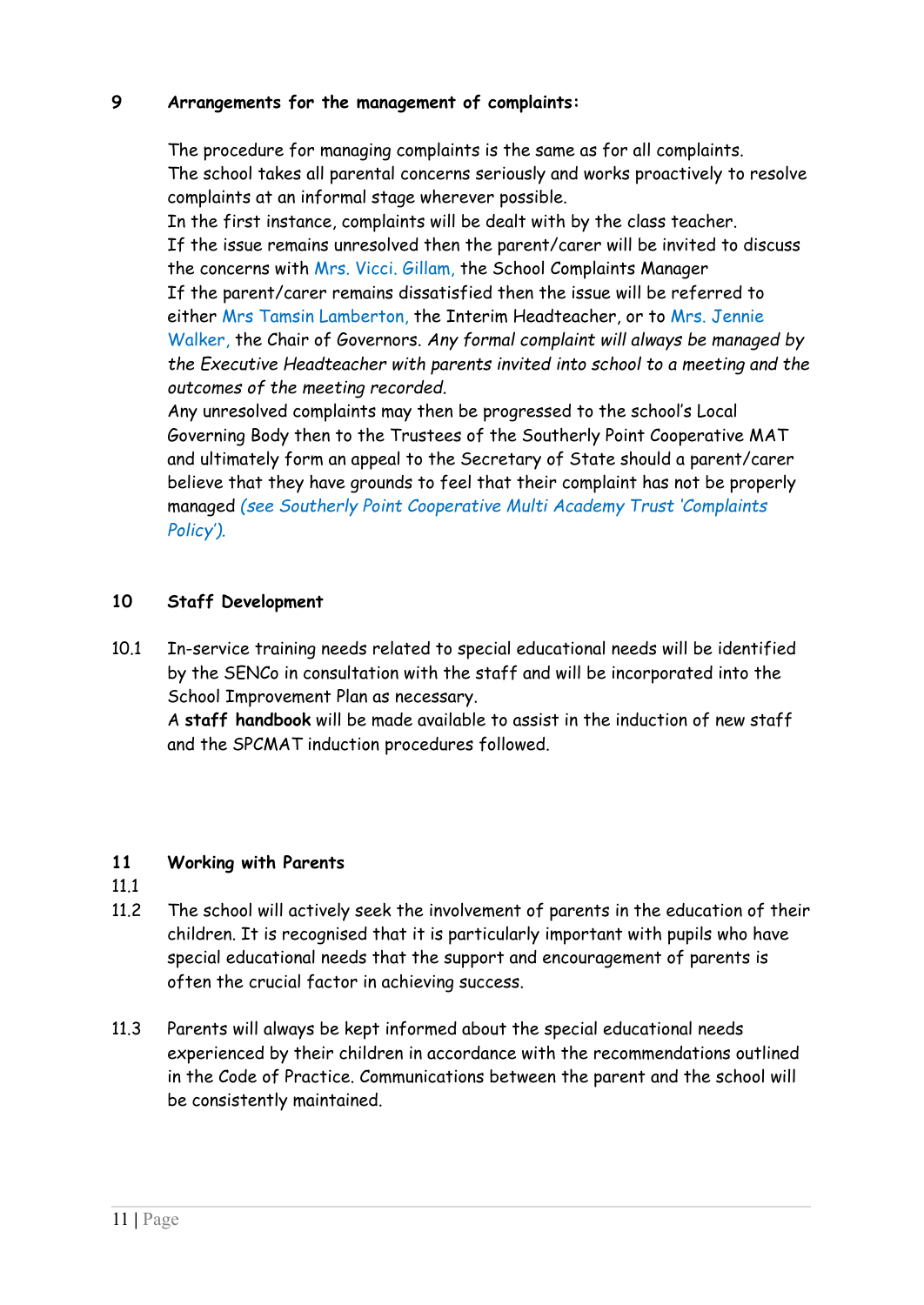## **9 Arrangements for the management of complaints:**

The procedure for managing complaints is the same as for all complaints. The school takes all parental concerns seriously and works proactively to resolve complaints at an informal stage wherever possible.

In the first instance, complaints will be dealt with by the class teacher. If the issue remains unresolved then the parent/carer will be invited to discuss the concerns with Mrs. Vicci. Gillam, the School Complaints Manager If the parent/carer remains dissatisfied then the issue will be referred to either Mrs Tamsin Lamberton, the Interim Headteacher, or to Mrs. Jennie Walker, the Chair of Governors. *Any formal complaint will always be managed by the Executive Headteacher with parents invited into school to a meeting and the outcomes of the meeting recorded.*

Any unresolved complaints may then be progressed to the school's Local Governing Body then to the Trustees of the Southerly Point Cooperative MAT and ultimately form an appeal to the Secretary of State should a parent/carer believe that they have grounds to feel that their complaint has not be properly managed *(see Southerly Point Cooperative Multi Academy Trust 'Complaints Policy').*

## **10 Staff Development**

10.1 In-service training needs related to special educational needs will be identified by the SENCo in consultation with the staff and will be incorporated into the School Improvement Plan as necessary.

A **staff handbook** will be made available to assist in the induction of new staff and the SPCMAT induction procedures followed.

## **11 Working with Parents**

- 11.1
- 11.2 The school will actively seek the involvement of parents in the education of their children. It is recognised that it is particularly important with pupils who have special educational needs that the support and encouragement of parents is often the crucial factor in achieving success.
- 11.3 Parents will always be kept informed about the special educational needs experienced by their children in accordance with the recommendations outlined in the Code of Practice. Communications between the parent and the school will be consistently maintained.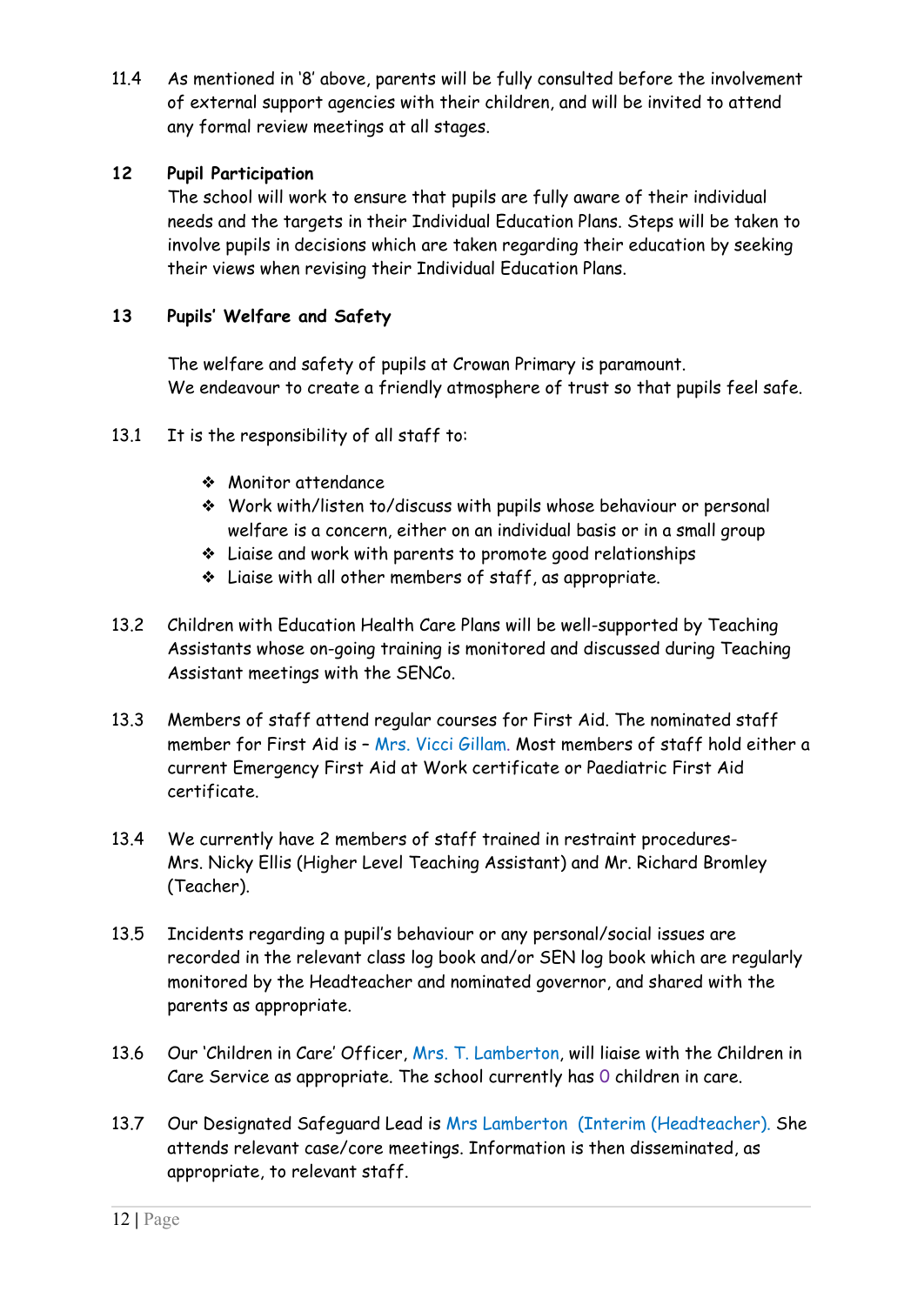11.4 As mentioned in '8' above, parents will be fully consulted before the involvement of external support agencies with their children, and will be invited to attend any formal review meetings at all stages.

## **12 Pupil Participation**

The school will work to ensure that pupils are fully aware of their individual needs and the targets in their Individual Education Plans. Steps will be taken to involve pupils in decisions which are taken regarding their education by seeking their views when revising their Individual Education Plans.

#### **13 Pupils' Welfare and Safety**

The welfare and safety of pupils at Crowan Primary is paramount. We endeavour to create a friendly atmosphere of trust so that pupils feel safe.

- 13.1 It is the responsibility of all staff to:
	- ❖ Monitor attendance
	- ❖ Work with/listen to/discuss with pupils whose behaviour or personal welfare is a concern, either on an individual basis or in a small group
	- ❖ Liaise and work with parents to promote good relationships
	- ❖ Liaise with all other members of staff, as appropriate.
- 13.2 Children with Education Health Care Plans will be well-supported by Teaching Assistants whose on-going training is monitored and discussed during Teaching Assistant meetings with the SENCo.
- 13.3 Members of staff attend regular courses for First Aid. The nominated staff member for First Aid is - Mrs. Vicci Gillam. Most members of staff hold either a current Emergency First Aid at Work certificate or Paediatric First Aid certificate.
- 13.4 We currently have 2 members of staff trained in restraint procedures-Mrs. Nicky Ellis (Higher Level Teaching Assistant) and Mr. Richard Bromley (Teacher).
- 13.5 Incidents regarding a pupil's behaviour or any personal/social issues are recorded in the relevant class log book and/or SEN log book which are regularly monitored by the Headteacher and nominated governor, and shared with the parents as appropriate.
- 13.6 Our 'Children in Care' Officer, Mrs. T. Lamberton, will liaise with the Children in Care Service as appropriate. The school currently has 0 children in care.
- 13.7 Our Designated Safeguard Lead is Mrs Lamberton (Interim (Headteacher). She attends relevant case/core meetings. Information is then disseminated, as appropriate, to relevant staff.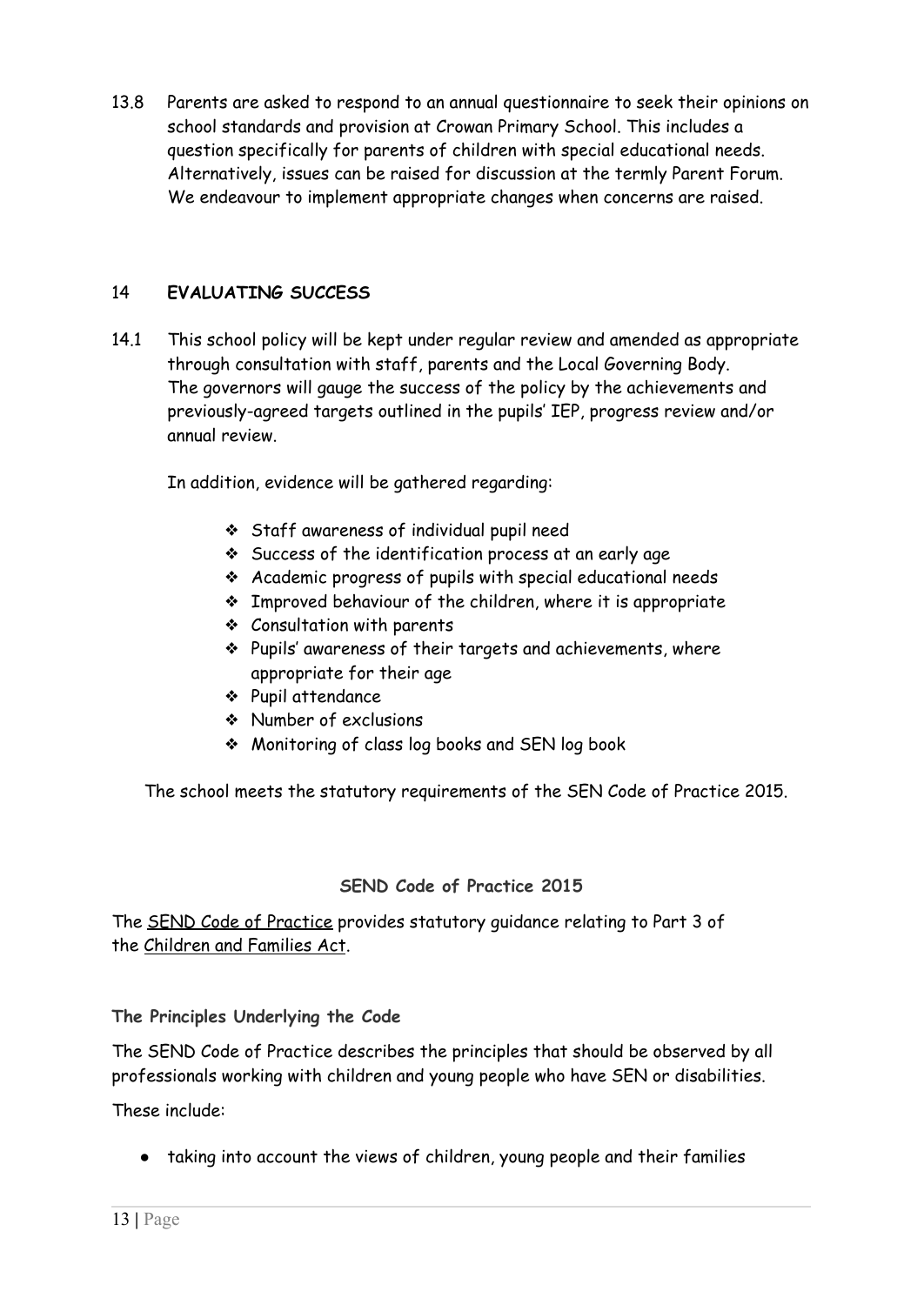13.8 Parents are asked to respond to an annual questionnaire to seek their opinions on school standards and provision at Crowan Primary School. This includes a question specifically for parents of children with special educational needs. Alternatively, issues can be raised for discussion at the termly Parent Forum. We endeavour to implement appropriate changes when concerns are raised.

## 14 **EVALUATING SUCCESS**

14.1 This school policy will be kept under regular review and amended as appropriate through consultation with staff, parents and the Local Governing Body. The governors will gauge the success of the policy by the achievements and previously-agreed targets outlined in the pupils' IEP, progress review and/or annual review.

In addition, evidence will be gathered regarding:

- ❖ Staff awareness of individual pupil need
- ❖ Success of the identification process at an early age
- ❖ Academic progress of pupils with special educational needs
- ❖ Improved behaviour of the children, where it is appropriate
- ❖ Consultation with parents
- ❖ Pupils' awareness of their targets and achievements, where appropriate for their age
- ❖ Pupil attendance
- ❖ Number of exclusions
- ❖ Monitoring of class log books and SEN log book

The school meets the statutory requirements of the SEN Code of Practice 2015.

## **SEND Code of Practice 2015**

The SEND Code of [Practice](https://www.gov.uk/government/publications/send-code-of-practice-0-to-25) provides statutory guidance relating to Part 3 of the [Children](http://www.legislation.gov.uk/ukpga/2014/6/contents/enacted) and Families Act.

**The Principles Underlying the Code**

The SEND Code of Practice describes the principles that should be observed by all professionals working with children and young people who have SEN or disabilities.

These include:

● taking into account the views of children, young people and their families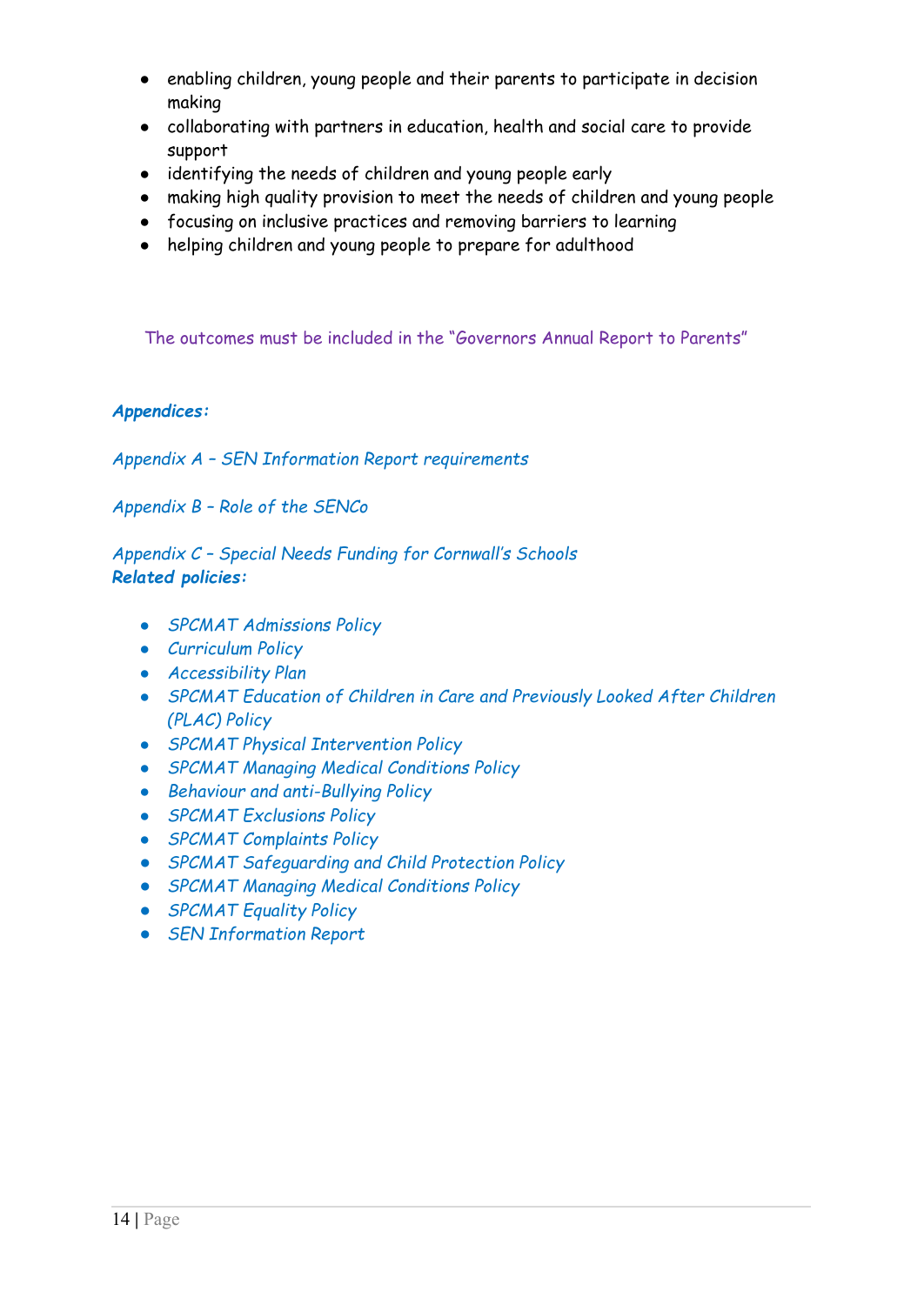- enabling children, young people and their parents to participate in decision making
- collaborating with partners in education, health and social care to provide support
- identifying the needs of children and young people early
- making high quality provision to meet the needs of children and young people
- focusing on inclusive practices and removing barriers to learning
- helping children and young people to prepare for adulthood

The outcomes must be included in the "Governors Annual Report to Parents"

#### *Appendices:*

*Appendix A – SEN Information Report requirements*

*Appendix B – Role of the SENCo*

*Appendix C – Special Needs Funding for Cornwall's Schools Related policies:*

- *SPCMAT Admissions Policy*
- *Curriculum Policy*
- *Accessibility Plan*
- *SPCMAT Education of Children in Care and Previously Looked After Children (PLAC) Policy*
- *SPCMAT Physical Intervention Policy*
- *SPCMAT Managing Medical Conditions Policy*
- *Behaviour and anti-Bullying Policy*
- *SPCMAT Exclusions Policy*
- *SPCMAT Complaints Policy*
- *SPCMAT Safeguarding and Child Protection Policy*
- *SPCMAT Managing Medical Conditions Policy*
- *SPCMAT Equality Policy*
- *SEN Information Report*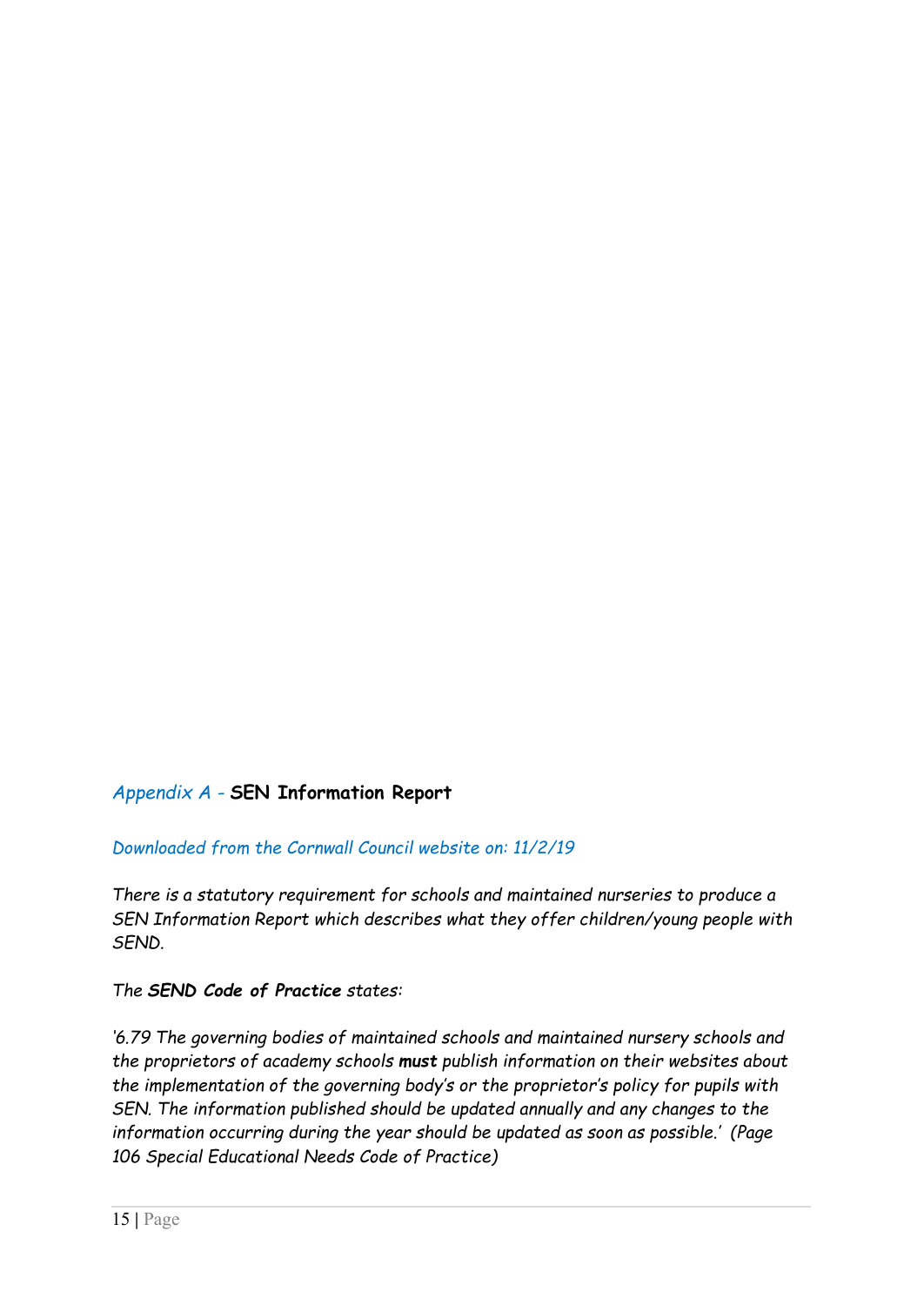# *Appendix A -* **SEN Information Report**

## *Downloaded from the Cornwall Council website on: 11/2/19*

*There is a statutory requirement for schools and maintained nurseries to produce a SEN Information Report which describes what they offer children/young people with SEND.*

#### *The SEND Code of Practice states:*

*'6.79 The governing bodies of maintained schools and maintained nursery schools and the proprietors of academy schools must publish information on their websites about the implementation of the governing body's or the proprietor's policy for pupils with SEN. The information published should be updated annually and any changes to the information occurring during the year should be updated as soon as possible.' (Page 106 Special Educational Needs Code of Practice)*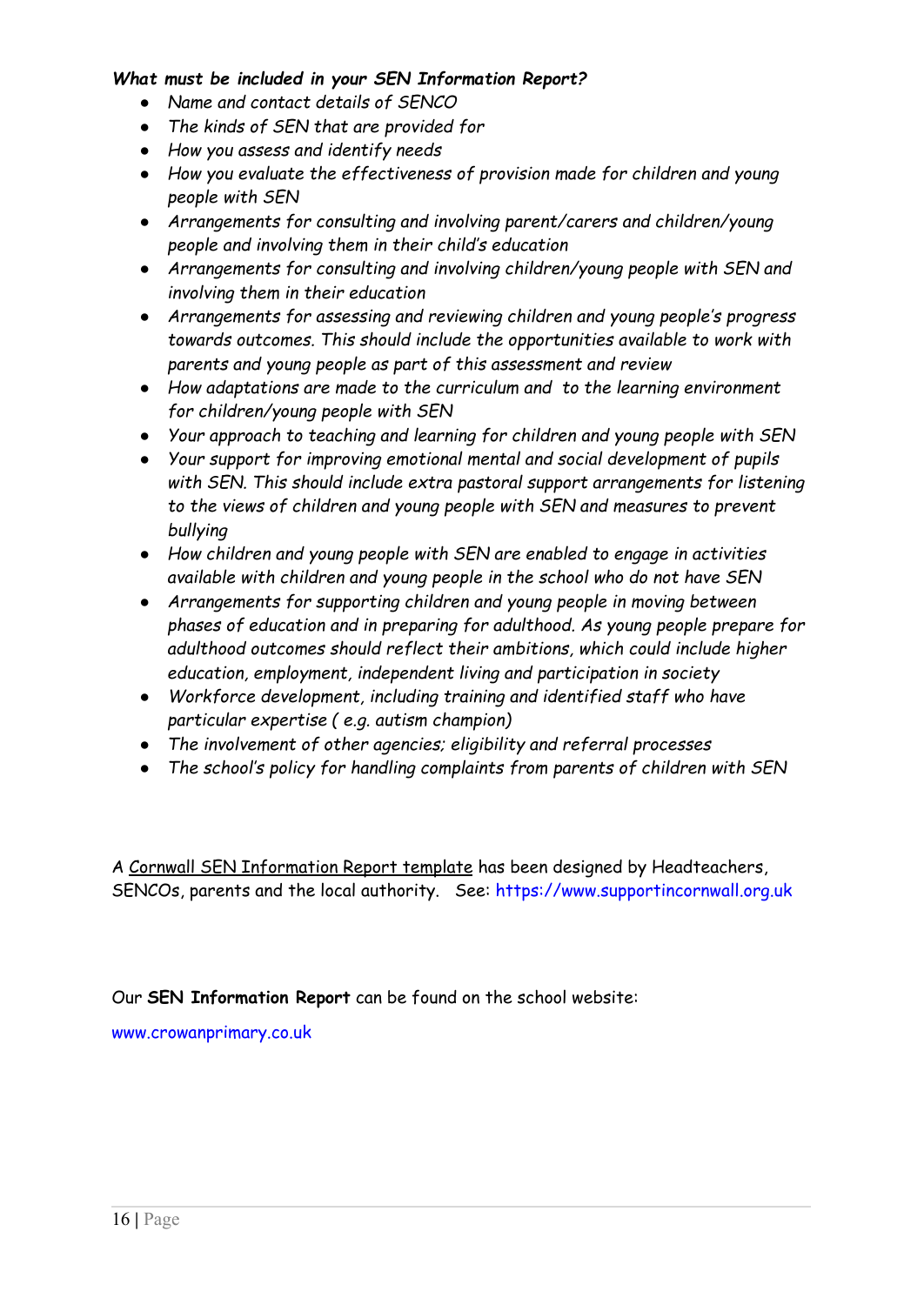#### *What must be included in your SEN Information Report?*

- *Name and contact details of SENCO*
- *The kinds of SEN that are provided for*
- *How you assess and identify needs*
- *How you evaluate the effectiveness of provision made for children and young people with SEN*
- *Arrangements for consulting and involving parent/carers and children/young people and involving them in their child's education*
- *Arrangements for consulting and involving children/young people with SEN and involving them in their education*
- *Arrangements for assessing and reviewing children and young people's progress towards outcomes. This should include the opportunities available to work with parents and young people as part of this assessment and review*
- *How adaptations are made to the curriculum and to the learning environment for children/young people with SEN*
- *Your approach to teaching and learning for children and young people with SEN*
- *Your support for improving emotional mental and social development of pupils with SEN. This should include extra pastoral support arrangements for listening to the views of children and young people with SEN and measures to prevent bullying*
- *How children and young people with SEN are enabled to engage in activities available with children and young people in the school who do not have SEN*
- *Arrangements for supporting children and young people in moving between phases of education and in preparing for adulthood. As young people prepare for adulthood outcomes should reflect their ambitions, which could include higher education, employment, independent living and participation in society*
- *Workforce development, including training and identified staff who have particular expertise ( e.g. autism champion)*
- *The involvement of other agencies; eligibility and referral processes*
- *The school's policy for handling complaints from parents of children with SEN*

A Cornwall SEN [Information](https://www.cornwall.gov.uk/media/15679554/sen-information-report-template.doc) Report template has been designed by Headteachers, SENCOs, parents and the local authority. See: <https://www.supportincornwall.org.uk>

Our **SEN Information Report** can be found on the school website:

[www.crowanprimary.co.uk](http://www.crowanprimary.co.uk)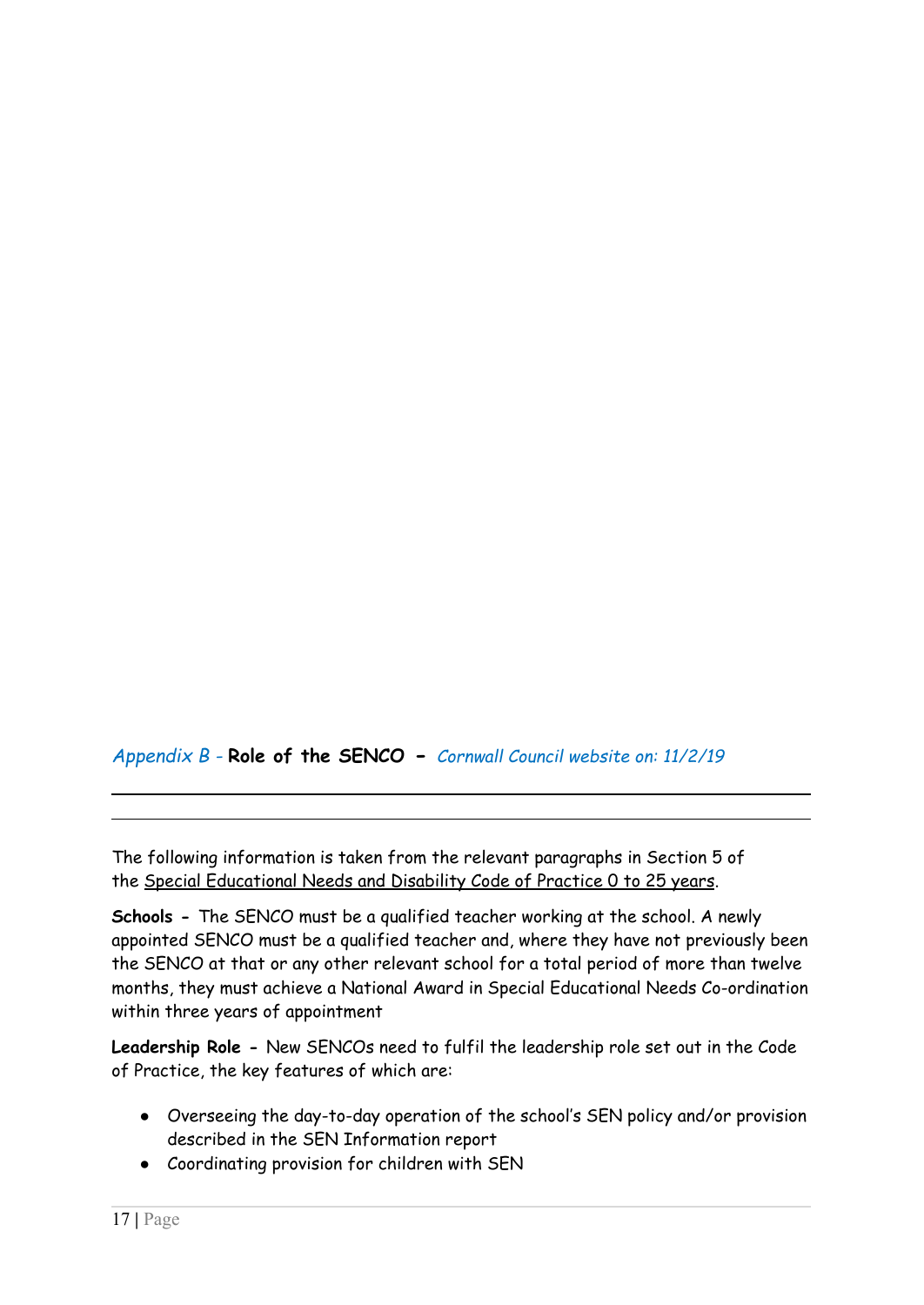*Appendix B -* **Role of the SENCO -** *Cornwall Council website on: 11/2/19*

The following information is taken from the relevant paragraphs in Section 5 of the Special [Educational](https://www.gov.uk/government/publications/send-code-of-practice-0-to-25) Needs and Disability Code of Practice 0 to 25 years.

**Schools -** The SENCO must be a qualified teacher working at the school. A newly appointed SENCO must be a qualified teacher and, where they have not previously been the SENCO at that or any other relevant school for a total period of more than twelve months, they must achieve a National Award in Special Educational Needs Co-ordination within three years of appointment

**Leadership Role -** New SENCOs need to fulfil the leadership role set out in the Code of Practice, the key features of which are:

- Overseeing the day-to-day operation of the school's SEN policy and/or provision described in the SEN Information report
- Coordinating provision for children with SEN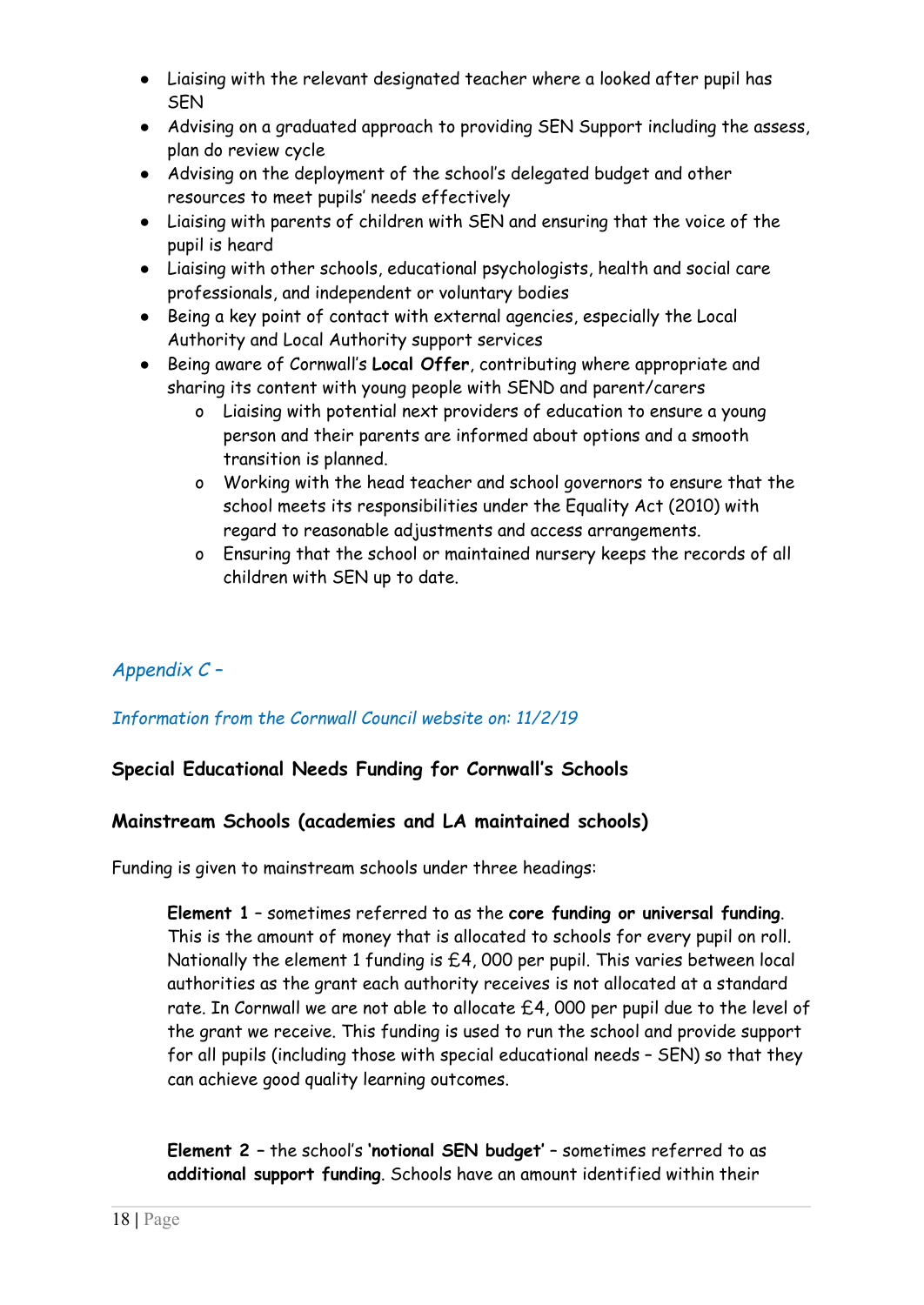- Liaising with the relevant designated teacher where a looked after pupil has **SFN**
- Advising on a graduated approach to providing SEN Support including the assess, plan do review cycle
- Advising on the deployment of the school's delegated budget and other resources to meet pupils' needs effectively
- Liaising with parents of children with SEN and ensuring that the voice of the pupil is heard
- Liaising with other schools, educational psychologists, health and social care professionals, and independent or voluntary bodies
- Being a key point of contact with external agencies, especially the Local Authority and Local Authority support services
- Being aware of Cornwall's **Local Offer**, contributing where appropriate and sharing its content with young people with SEND and parent/carers
	- o Liaising with potential next providers of education to ensure a young person and their parents are informed about options and a smooth transition is planned.
	- o Working with the head teacher and school governors to ensure that the school meets its responsibilities under the Equality Act (2010) with regard to reasonable adjustments and access arrangements.
	- o Ensuring that the school or maintained nursery keeps the records of all children with SEN up to date.

# *Appendix C –*

# *Information from the Cornwall Council website on: 11/2/19*

# **Special Educational Needs Funding for Cornwall's Schools**

## **Mainstream Schools (academies and LA maintained schools)**

Funding is given to mainstream schools under three headings:

**Element 1** – sometimes referred to as the **core funding or universal funding**. This is the amount of money that is allocated to schools for every pupil on roll. Nationally the element 1 funding is £4, 000 per pupil. This varies between local authorities as the grant each authority receives is not allocated at a standard rate. In Cornwall we are not able to allocate £4, 000 per pupil due to the level of the grant we receive. This funding is used to run the school and provide support for all pupils (including those with special educational needs – SEN) so that they can achieve good quality learning outcomes.

**Element 2 –** the school's **'notional SEN budget'** – sometimes referred to as **additional support funding**. Schools have an amount identified within their